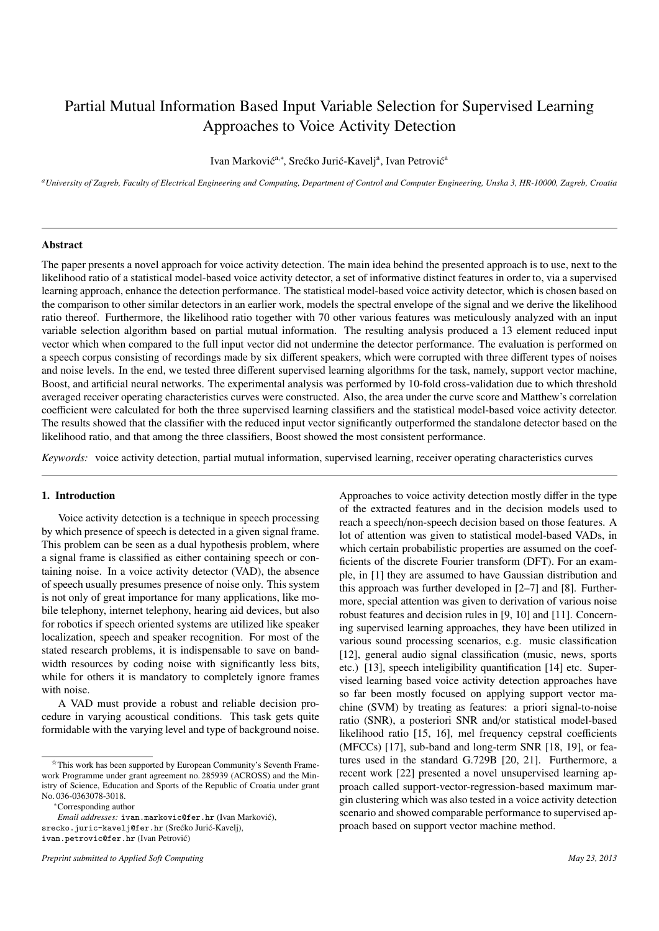# Partial Mutual Information Based Input Variable Selection for Supervised Learning Approaches to Voice Activity Detection

Ivan Marković<sup>a,\*</sup>, Srećko Jurić-Kavelj<sup>a</sup>, Ivan Petrović<sup>a</sup>

*<sup>a</sup>University of Zagreb, Faculty of Electrical Engineering and Computing, Department of Control and Computer Engineering, Unska 3, HR-10000, Zagreb, Croatia*

#### Abstract

The paper presents a novel approach for voice activity detection. The main idea behind the presented approach is to use, next to the likelihood ratio of a statistical model-based voice activity detector, a set of informative distinct features in order to, via a supervised learning approach, enhance the detection performance. The statistical model-based voice activity detector, which is chosen based on the comparison to other similar detectors in an earlier work, models the spectral envelope of the signal and we derive the likelihood ratio thereof. Furthermore, the likelihood ratio together with 70 other various features was meticulously analyzed with an input variable selection algorithm based on partial mutual information. The resulting analysis produced a 13 element reduced input vector which when compared to the full input vector did not undermine the detector performance. The evaluation is performed on a speech corpus consisting of recordings made by six different speakers, which were corrupted with three different types of noises and noise levels. In the end, we tested three different supervised learning algorithms for the task, namely, support vector machine, Boost, and artificial neural networks. The experimental analysis was performed by 10-fold cross-validation due to which threshold averaged receiver operating characteristics curves were constructed. Also, the area under the curve score and Matthew's correlation coefficient were calculated for both the three supervised learning classifiers and the statistical model-based voice activity detector. The results showed that the classifier with the reduced input vector significantly outperformed the standalone detector based on the likelihood ratio, and that among the three classifiers, Boost showed the most consistent performance.

*Keywords:* voice activity detection, partial mutual information, supervised learning, receiver operating characteristics curves

### 1. Introduction

Voice activity detection is a technique in speech processing by which presence of speech is detected in a given signal frame. This problem can be seen as a dual hypothesis problem, where a signal frame is classified as either containing speech or containing noise. In a voice activity detector (VAD), the absence of speech usually presumes presence of noise only. This system is not only of great importance for many applications, like mobile telephony, internet telephony, hearing aid devices, but also for robotics if speech oriented systems are utilized like speaker localization, speech and speaker recognition. For most of the stated research problems, it is indispensable to save on bandwidth resources by coding noise with significantly less bits, while for others it is mandatory to completely ignore frames with noise.

A VAD must provide a robust and reliable decision procedure in varying acoustical conditions. This task gets quite formidable with the varying level and type of background noise.

Approaches to voice activity detection mostly differ in the type of the extracted features and in the decision models used to reach a speech/non-speech decision based on those features. A lot of attention was given to statistical model-based VADs, in which certain probabilistic properties are assumed on the coefficients of the discrete Fourier transform (DFT). For an example, in [1] they are assumed to have Gaussian distribution and this approach was further developed in [2–7] and [8]. Furthermore, special attention was given to derivation of various noise robust features and decision rules in [9, 10] and [11]. Concerning supervised learning approaches, they have been utilized in various sound processing scenarios, e.g. music classification [12], general audio signal classification (music, news, sports etc.) [13], speech inteligibility quantification [14] etc. Supervised learning based voice activity detection approaches have so far been mostly focused on applying support vector machine (SVM) by treating as features: a priori signal-to-noise ratio (SNR), a posteriori SNR and/or statistical model-based likelihood ratio [15, 16], mel frequency cepstral coefficients (MFCCs) [17], sub-band and long-term SNR [18, 19], or features used in the standard G.729B [20, 21]. Furthermore, a recent work [22] presented a novel unsupervised learning approach called support-vector-regression-based maximum margin clustering which was also tested in a voice activity detection scenario and showed comparable performance to supervised approach based on support vector machine method.

<sup>✩</sup>This work has been supported by European Community's Seventh Framework Programme under grant agreement no. 285939 (ACROSS) and the Ministry of Science, Education and Sports of the Republic of Croatia under grant No. 036-0363078-3018.

<sup>∗</sup>Corresponding author

*Email addresses:* ivan.markovic@fer.hr (Ivan Markovic), ´ srecko.juric-kavelj@fer.hr (Srećko Jurić-Kavelj), ivan.petrovic@fer.hr (Ivan Petrovic)´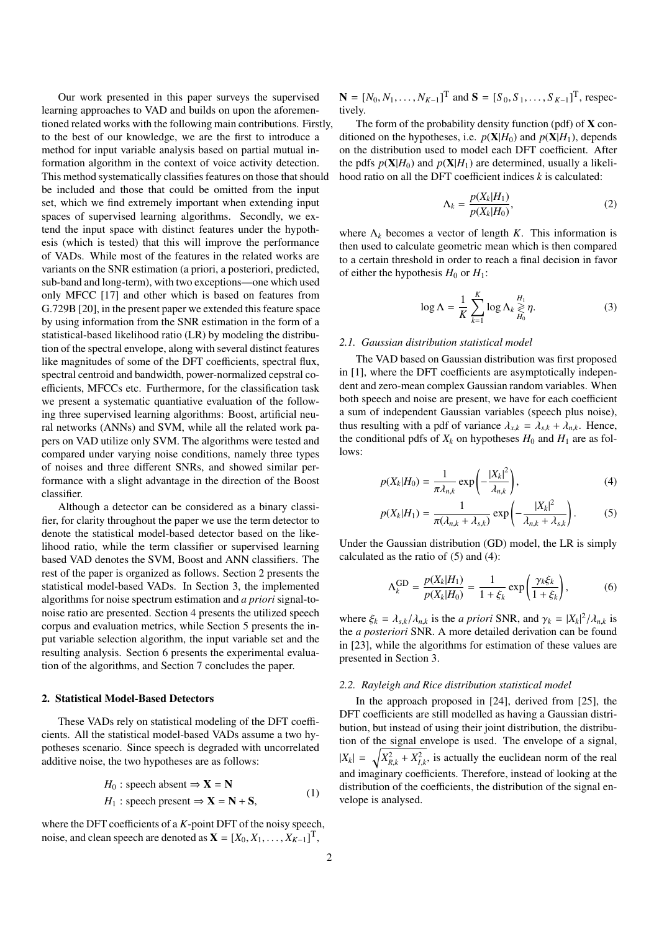Our work presented in this paper surveys the supervised learning approaches to VAD and builds on upon the aforementioned related works with the following main contributions. Firstly, to the best of our knowledge, we are the first to introduce a method for input variable analysis based on partial mutual information algorithm in the context of voice activity detection. This method systematically classifies features on those that should be included and those that could be omitted from the input set, which we find extremely important when extending input spaces of supervised learning algorithms. Secondly, we extend the input space with distinct features under the hypothesis (which is tested) that this will improve the performance of VADs. While most of the features in the related works are variants on the SNR estimation (a priori, a posteriori, predicted, sub-band and long-term), with two exceptions—one which used only MFCC [17] and other which is based on features from G.729B [20], in the present paper we extended this feature space by using information from the SNR estimation in the form of a statistical-based likelihood ratio (LR) by modeling the distribution of the spectral envelope, along with several distinct features like magnitudes of some of the DFT coefficients, spectral flux, spectral centroid and bandwidth, power-normalized cepstral coefficients, MFCCs etc. Furthermore, for the classification task we present a systematic quantiative evaluation of the following three supervised learning algorithms: Boost, artificial neural networks (ANNs) and SVM, while all the related work papers on VAD utilize only SVM. The algorithms were tested and compared under varying noise conditions, namely three types of noises and three different SNRs, and showed similar performance with a slight advantage in the direction of the Boost classifier.

Although a detector can be considered as a binary classifier, for clarity throughout the paper we use the term detector to denote the statistical model-based detector based on the likelihood ratio, while the term classifier or supervised learning based VAD denotes the SVM, Boost and ANN classifiers. The rest of the paper is organized as follows. Section 2 presents the statistical model-based VADs. In Section 3, the implemented algorithms for noise spectrum estimation and *a priori* signal-tonoise ratio are presented. Section 4 presents the utilized speech corpus and evaluation metrics, while Section 5 presents the input variable selection algorithm, the input variable set and the resulting analysis. Section 6 presents the experimental evaluation of the algorithms, and Section 7 concludes the paper.

## 2. Statistical Model-Based Detectors

These VADs rely on statistical modeling of the DFT coefficients. All the statistical model-based VADs assume a two hypotheses scenario. Since speech is degraded with uncorrelated additive noise, the two hypotheses are as follows:

$$
H_0: \text{ speech absent} \Rightarrow \mathbf{X} = \mathbf{N}
$$
  
\n
$$
H_1: \text{ speech present} \Rightarrow \mathbf{X} = \mathbf{N} + \mathbf{S},
$$
 (1)

where the DFT coefficients of a *K*-point DFT of the noisy speech, noise, and clean speech are denoted as  $\mathbf{X} = [X_0, X_1, \dots, X_{K-1}]^T$ ,

 $N = [N_0, N_1, \dots, N_{K-1}]$ <sup>T</sup> and  $S = [S_0, S_1, \dots, S_{K-1}]$ <sup>T</sup>, respectively.

The form of the probability density function (pdf) of  $X$  conditioned on the hypotheses, i.e.  $p(X|H_0)$  and  $p(X|H_1)$ , depends on the distribution used to model each DFT coefficient. After the pdfs  $p(X|H_0)$  and  $p(X|H_1)$  are determined, usually a likelihood ratio on all the DFT coefficient indices *k* is calculated:

$$
\Lambda_k = \frac{p(X_k|H_1)}{p(X_k|H_0)},\tag{2}
$$

where  $\Lambda_k$  becomes a vector of length *K*. This information is then used to calculate geometric mean which is then compared to a certain threshold in order to reach a final decision in favor of either the hypothesis  $H_0$  or  $H_1$ :

$$
\log \Lambda = \frac{1}{K} \sum_{k=1}^{K} \log \Lambda_k \gtrless_{H_0}^{H_1} \eta. \tag{3}
$$

# *2.1. Gaussian distribution statistical model*

The VAD based on Gaussian distribution was first proposed in [1], where the DFT coefficients are asymptotically independent and zero-mean complex Gaussian random variables. When both speech and noise are present, we have for each coefficient a sum of independent Gaussian variables (speech plus noise), thus resulting with a pdf of variance  $\lambda_{x,k} = \lambda_{s,k} + \lambda_{n,k}$ . Hence, the conditional pdfs of  $X_k$  on hypotheses  $H_0$  and  $H_1$  are as follows:

$$
p(X_k|H_0) = \frac{1}{\pi \lambda_{n,k}} \exp\left(-\frac{|X_k|^2}{\lambda_{n,k}}\right),\tag{4}
$$

$$
p(X_k|H_1) = \frac{1}{\pi(\lambda_{n,k} + \lambda_{s,k})} \exp\left(-\frac{|X_k|^2}{\lambda_{n,k} + \lambda_{s,k}}\right).
$$
 (5)

Under the Gaussian distribution (GD) model, the LR is simply calculated as the ratio of (5) and (4):

$$
\Lambda_k^{\text{GD}} = \frac{p(X_k|H_1)}{p(X_k|H_0)} = \frac{1}{1+\xi_k} \exp\left(\frac{\gamma_k \xi_k}{1+\xi_k}\right),\tag{6}
$$

where  $\xi_k = \lambda_{s,k}/\lambda_{n,k}$  is the *a priori* SNR, and  $\gamma_k = |X_k|^2/\lambda_{n,k}$  is the *a posteriori* SNR. A more detailed derivation can be found in [23], while the algorithms for estimation of these values are presented in Section 3.

### *2.2. Rayleigh and Rice distribution statistical model*

In the approach proposed in [24], derived from [25], the DFT coefficients are still modelled as having a Gaussian distribution, but instead of using their joint distribution, the distribution of the signal envelope is used. The envelope of a signal,  $|X_k| = \sqrt{X_{R,k}^2 + X_{I,k}^2}$ , is actually the euclidean norm of the real and imaginary coefficients. Therefore, instead of looking at the distribution of the coefficients, the distribution of the signal envelope is analysed.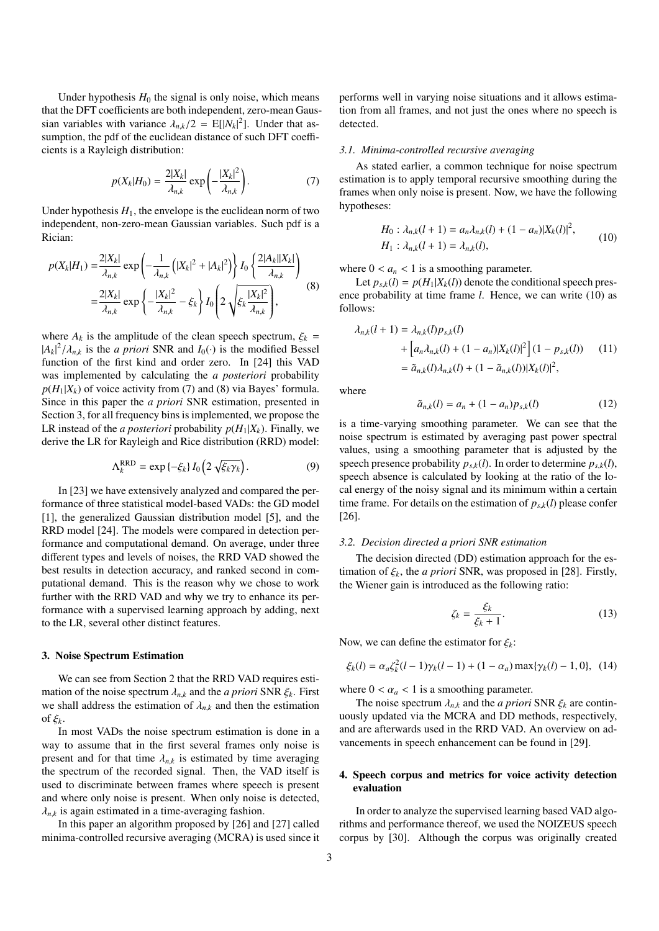Under hypothesis  $H_0$  the signal is only noise, which means that the DFT coefficients are both independent, zero-mean Gaussian variables with variance  $\lambda_{n,k}/2 = E[|N_k|^2]$ . Under that assumption, the pdf of the euclidean distance of such DFT coefficients is a Rayleigh distribution:

$$
p(X_k|H_0) = \frac{2|X_k|}{\lambda_{n,k}} \exp\left(-\frac{|X_k|^2}{\lambda_{n,k}}\right).
$$
 (7)

Under hypothesis  $H_1$ , the envelope is the euclidean norm of two independent, non-zero-mean Gaussian variables. Such pdf is a Rician:

$$
p(X_k|H_1) = \frac{2|X_k|}{\lambda_{n,k}} \exp\left(-\frac{1}{\lambda_{n,k}}\left(|X_k|^2 + |A_k|^2\right)\right) I_0\left\{\frac{2|A_k||X_k|}{\lambda_{n,k}}\right)
$$
  

$$
= \frac{2|X_k|}{\lambda_{n,k}} \exp\left\{-\frac{|X_k|^2}{\lambda_{n,k}} - \xi_k\right\} I_0\left(2\sqrt{\xi_k \frac{|X_k|^2}{\lambda_{n,k}}}\right),
$$
 (8)

where  $A_k$  is the amplitude of the clean speech spectrum,  $\xi_k$  =  $|A_k|^2/\lambda_{n,k}$  is the *a priori* SNR and  $I_0(\cdot)$  is the modified Bessel function of the first kind and order zero. In [24] this VAD was implemented by calculating the *a posteriori* probability  $p(H_1|X_k)$  of voice activity from (7) and (8) via Bayes' formula. Since in this paper the *a priori* SNR estimation, presented in Section 3, for all frequency bins is implemented, we propose the LR instead of the *a posteriori* probability  $p(H_1|X_k)$ . Finally, we derive the LR for Rayleigh and Rice distribution (RRD) model:

$$
\Lambda_k^{\text{RRD}} = \exp\left\{-\xi_k\right\} I_0 \left(2\sqrt{\xi_k \gamma_k}\right). \tag{9}
$$

In [23] we have extensively analyzed and compared the performance of three statistical model-based VADs: the GD model [1], the generalized Gaussian distribution model [5], and the RRD model [24]. The models were compared in detection performance and computational demand. On average, under three different types and levels of noises, the RRD VAD showed the best results in detection accuracy, and ranked second in computational demand. This is the reason why we chose to work further with the RRD VAD and why we try to enhance its performance with a supervised learning approach by adding, next to the LR, several other distinct features.

### 3. Noise Spectrum Estimation

We can see from Section 2 that the RRD VAD requires estimation of the noise spectrum  $\lambda_{n,k}$  and the *a priori* SNR  $\xi_k$ . First we shall address the estimation of  $\lambda_{n,k}$  and then the estimation of  $\xi_k$ .

In most VADs the noise spectrum estimation is done in a way to assume that in the first several frames only noise is present and for that time  $\lambda_{n,k}$  is estimated by time averaging the spectrum of the recorded signal. Then, the VAD itself is used to discriminate between frames where speech is present and where only noise is present. When only noise is detected,  $\lambda_{n,k}$  is again estimated in a time-averaging fashion.

In this paper an algorithm proposed by [26] and [27] called minima-controlled recursive averaging (MCRA) is used since it performs well in varying noise situations and it allows estimation from all frames, and not just the ones where no speech is detected.

## *3.1. Minima-controlled recursive averaging*

As stated earlier, a common technique for noise spectrum estimation is to apply temporal recursive smoothing during the frames when only noise is present. Now, we have the following hypotheses:

$$
H_0: \lambda_{n,k}(l+1) = a_n \lambda_{n,k}(l) + (1 - a_n)|X_k(l)|^2,
$$
  
\n
$$
H_1: \lambda_{n,k}(l+1) = \lambda_{n,k}(l),
$$
\n(10)

where  $0 < a_n < 1$  is a smoothing parameter.

Let  $p_{s,k}(l) = p(H_1|X_k(l))$  denote the conditional speech presence probability at time frame *l*. Hence, we can write (10) as follows:

$$
\lambda_{n,k}(l+1) = \lambda_{n,k}(l)p_{s,k}(l)
$$
  
+ 
$$
\left[a_n \lambda_{n,k}(l) + (1 - a_n)|X_k(l)|^2\right](1 - p_{s,k}(l)) \qquad (11)
$$
  
= 
$$
\tilde{a}_{n,k}(l)\lambda_{n,k}(l) + (1 - \tilde{a}_{n,k}(l))|X_k(l)|^2,
$$

where

$$
\tilde{a}_{n,k}(l) = a_n + (1 - a_n) p_{s,k}(l)
$$
 (12)

is a time-varying smoothing parameter. We can see that the noise spectrum is estimated by averaging past power spectral values, using a smoothing parameter that is adjusted by the speech presence probability  $p_{s,k}(l)$ . In order to determine  $p_{s,k}(l)$ , speech absence is calculated by looking at the ratio of the local energy of the noisy signal and its minimum within a certain time frame. For details on the estimation of  $p_{s,k}(l)$  please confer [26].

### *3.2. Decision directed a priori SNR estimation*

The decision directed (DD) estimation approach for the estimation of ξ*k*, the *a priori* SNR, was proposed in [28]. Firstly, the Wiener gain is introduced as the following ratio:

$$
\zeta_k = \frac{\xi_k}{\xi_k + 1}.\tag{13}
$$

Now, we can define the estimator for  $\xi_k$ :

$$
\xi_k(l) = \alpha_a \zeta_k^2 (l-1) \gamma_k (l-1) + (1 - \alpha_a) \max{\gamma_k(l) - 1, 0}, \quad (14)
$$

where  $0 < \alpha_a < 1$  is a smoothing parameter.

The noise spectrum  $\lambda_{n,k}$  and the *a priori* SNR  $\xi_k$  are continuously updated via the MCRA and DD methods, respectively, and are afterwards used in the RRD VAD. An overview on advancements in speech enhancement can be found in [29].

# 4. Speech corpus and metrics for voice activity detection evaluation

In order to analyze the supervised learning based VAD algorithms and performance thereof, we used the NOIZEUS speech corpus by [30]. Although the corpus was originally created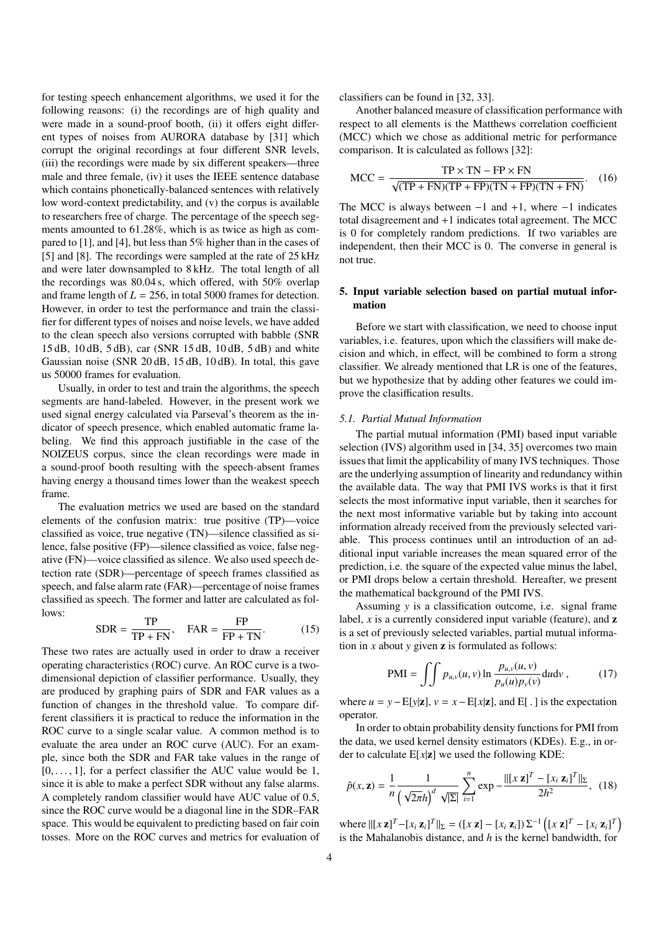for testing speech enhancement algorithms, we used it for the following reasons: (i) the recordings are of high quality and were made in a sound-proof booth, (ii) it offers eight different types of noises from AURORA database by [31] which corrupt the original recordings at four different SNR levels, (iii) the recordings were made by six different speakers—three male and three female, (iv) it uses the IEEE sentence database which contains phonetically-balanced sentences with relatively low word-context predictability, and (v) the corpus is available to researchers free of charge. The percentage of the speech segments amounted to 61.28%, which is as twice as high as compared to [1], and [4], but less than 5% higher than in the cases of [5] and [8]. The recordings were sampled at the rate of 25 kHz and were later downsampled to 8 kHz. The total length of all the recordings was 80.04 s, which offered, with 50% overlap and frame length of  $L = 256$ , in total 5000 frames for detection. However, in order to test the performance and train the classifier for different types of noises and noise levels, we have added to the clean speech also versions corrupted with babble (SNR 15 dB, 10 dB, 5 dB), car (SNR 15 dB, 10 dB, 5 dB) and white Gaussian noise (SNR 20 dB, 15 dB, 10 dB). In total, this gave us 50000 frames for evaluation.

Usually, in order to test and train the algorithms, the speech segments are hand-labeled. However, in the present work we used signal energy calculated via Parseval's theorem as the indicator of speech presence, which enabled automatic frame labeling. We find this approach justifiable in the case of the NOIZEUS corpus, since the clean recordings were made in a sound-proof booth resulting with the speech-absent frames having energy a thousand times lower than the weakest speech frame.

The evaluation metrics we used are based on the standard elements of the confusion matrix: true positive (TP)—voice classified as voice, true negative (TN)—silence classified as silence, false positive (FP)—silence classified as voice, false negative (FN)—voice classified as silence. We also used speech detection rate (SDR)—percentage of speech frames classified as speech, and false alarm rate (FAR)—percentage of noise frames classified as speech. The former and latter are calculated as follows:

$$
SDR = \frac{TP}{TP + FN}, \quad FAR = \frac{FP}{FP + TN}.
$$
 (15)

These two rates are actually used in order to draw a receiver operating characteristics (ROC) curve. An ROC curve is a twodimensional depiction of classifier performance. Usually, they are produced by graphing pairs of SDR and FAR values as a function of changes in the threshold value. To compare different classifiers it is practical to reduce the information in the ROC curve to a single scalar value. A common method is to evaluate the area under an ROC curve (AUC). For an example, since both the SDR and FAR take values in the range of  $[0, \ldots, 1]$ , for a perfect classifier the AUC value would be 1, since it is able to make a perfect SDR without any false alarms. A completely random classifier would have AUC value of 0.5, since the ROC curve would be a diagonal line in the SDR–FAR space. This would be equivalent to predicting based on fair coin tosses. More on the ROC curves and metrics for evaluation of classifiers can be found in [32, 33].

Another balanced measure of classification performance with respect to all elements is the Matthews correlation coefficient (MCC) which we chose as additional metric for performance comparison. It is calculated as follows [32]:

$$
MCC = \frac{TP \times TN - FP \times FN}{\sqrt{(TP + FN)(TP + FP)(TN + FP)(TN + FN)}}.
$$
 (16)

The MCC is always between  $-1$  and  $+1$ , where  $-1$  indicates total disagreement and +1 indicates total agreement. The MCC is 0 for completely random predictions. If two variables are independent, then their MCC is 0. The converse in general is not true.

# 5. Input variable selection based on partial mutual information

Before we start with classification, we need to choose input variables, i.e. features, upon which the classifiers will make decision and which, in effect, will be combined to form a strong classifier. We already mentioned that LR is one of the features, but we hypothesize that by adding other features we could improve the clasiffication results.

### *5.1. Partial Mutual Information*

The partial mutual information (PMI) based input variable selection (IVS) algorithm used in [34, 35] overcomes two main issues that limit the applicability of many IVS techniques. Those are the underlying assumption of linearity and redundancy within the available data. The way that PMI IVS works is that it first selects the most informative input variable, then it searches for the next most informative variable but by taking into account information already received from the previously selected variable. This process continues until an introduction of an additional input variable increases the mean squared error of the prediction, i.e. the square of the expected value minus the label, or PMI drops below a certain threshold. Hereafter, we present the mathematical background of the PMI IVS.

Assuming *y* is a classification outcome, i.e. signal frame label, *x* is a currently considered input variable (feature), and **z** is a set of previously selected variables, partial mutual information in *x* about *y* given z is formulated as follows:

$$
PMI = \iint p_{u,v}(u,v) \ln \frac{p_{u,v}(u,v)}{p_u(u)p_v(v)} du dv , \qquad (17)
$$

where  $u = y - E[y|z]$ ,  $v = x - E[x|z]$ , and E[.] is the expectation operator.

In order to obtain probability density functions for PMI from the data, we used kernel density estimators (KDEs). E.g., in order to calculate  $E[x|z]$  we used the following KDE:

$$
\hat{p}(x,\mathbf{z}) = \frac{1}{n} \frac{1}{\left(\sqrt{2\pi}h\right)^d \sqrt{|\Sigma|}} \sum_{i=1}^n \exp{-\frac{\left\|\left[x \mathbf{z}\right]^T - \left[x_i \mathbf{z}_i\right]^T\right\|_{\Sigma}}{2h^2}}, \quad (18)
$$

where  $\| [x \mathbf{z}]^T - [x_i \mathbf{z}_i]^T \|_{\Sigma} = ( [x \mathbf{z}] - [x_i \mathbf{z}_i]) \Sigma^{-1} ( [x \mathbf{z}]^T - [x_i \mathbf{z}_i]^T )$ is the Mahalanobis distance, and *h* is the kernel bandwidth, for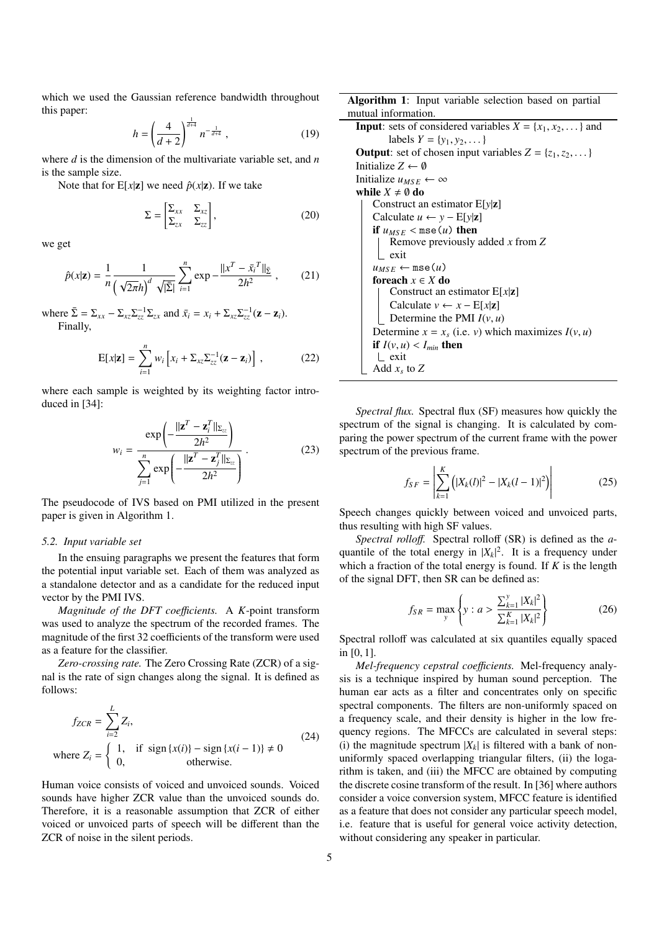which we used the Gaussian reference bandwidth throughout this paper:

$$
h = \left(\frac{4}{d+2}\right)^{\frac{1}{d+4}} n^{-\frac{1}{d+4}}, \qquad (19)
$$

where *d* is the dimension of the multivariate variable set, and *n* is the sample size.

Note that for  $E[x|z]$  we need  $\hat{p}(x|z)$ . If we take

$$
\Sigma = \begin{bmatrix} \Sigma_{xx} & \Sigma_{xz} \\ \Sigma_{zx} & \Sigma_{zz} \end{bmatrix},\tag{20}
$$

we get

$$
\hat{p}(x|\mathbf{z}) = \frac{1}{n} \frac{1}{\left(\sqrt{2\pi}h\right)^d} \frac{1}{\sqrt{|\Sigma|}} \sum_{i=1}^n \exp{-\frac{||x^T - \bar{x}_i|^T||_{\bar{\Sigma}}}{2h^2}},\qquad(21)
$$

where  $\bar{\Sigma} = \sum_{xx} -\sum_{xz} \sum_{zz}^{-1} \sum_{zx}$  and  $\bar{x}_i = x_i + \sum_{xz} \sum_{zz}^{-1} (\mathbf{z} - \mathbf{z}_i)$ . Finally,

$$
E[x|\mathbf{z}] = \sum_{i=1}^{n} w_i \left[ x_i + \Sigma_{xz} \Sigma_{zz}^{-1} (\mathbf{z} - \mathbf{z}_i) \right], \qquad (22)
$$

where each sample is weighted by its weighting factor introduced in [34]:

$$
w_i = \frac{\exp\left(-\frac{\|\mathbf{z}^T - \mathbf{z}_i^T\|_{\Sigma_{zz}}}{2h^2}\right)}{\sum_{j=1}^n \exp\left(-\frac{\|\mathbf{z}^T - \mathbf{z}_j^T\|_{\Sigma_{zz}}}{2h^2}\right)}.
$$
(23)

The pseudocode of IVS based on PMI utilized in the present paper is given in Algorithm 1.

### *5.2. Input variable set*

In the ensuing paragraphs we present the features that form the potential input variable set. Each of them was analyzed as a standalone detector and as a candidate for the reduced input vector by the PMI IVS.

*Magnitude of the DFT coefficients.* A *K*-point transform was used to analyze the spectrum of the recorded frames. The magnitude of the first 32 coefficients of the transform were used as a feature for the classifier.

*Zero-crossing rate.* The Zero Crossing Rate (ZCR) of a signal is the rate of sign changes along the signal. It is defined as follows:

$$
f_{ZCR} = \sum_{i=2}^{L} Z_i,
$$
  
where  $Z_i = \begin{cases} 1, & \text{if sign } \{x(i)\} - \text{sign } \{x(i-1)\} \neq 0 \\ 0, & \text{otherwise.} \end{cases}$  (24)

Human voice consists of voiced and unvoiced sounds. Voiced sounds have higher ZCR value than the unvoiced sounds do. Therefore, it is a reasonable assumption that ZCR of either voiced or unvoiced parts of speech will be different than the ZCR of noise in the silent periods.

| Algorithm 1: Input variable selection based on partial                   |
|--------------------------------------------------------------------------|
| mutual information.                                                      |
| <b>Input:</b> sets of considered variables $X = \{x_1, x_2, \dots\}$ and |
| labels $Y = \{y_1, y_2, \dots\}$                                         |
| <b>Output</b> : set of chosen input variables $Z = \{z_1, z_2, \dots\}$  |
| Initialize $Z \leftarrow \emptyset$                                      |
| Initialize $u_{MSE} \leftarrow \infty$                                   |
| while $X \neq \emptyset$ do                                              |
| Construct an estimator $E[y z]$                                          |
| Calculate $u \leftarrow y - E[y z]$                                      |
| if $u_{MSE}$ < mse( <i>u</i> ) then                                      |
| Remove previously added x from $Z$                                       |
| exit                                                                     |
| $u_{MSE} \leftarrow \text{mse}(u)$                                       |
| foreach $x \in X$ do                                                     |
| Construct an estimator $E[x z]$                                          |
| Calculate $v \leftarrow x - E[x z]$                                      |
| Determine the PMI $I(v, u)$                                              |
| Determine $x = x_s$ (i.e. v) which maximizes $I(v, u)$                   |
| if $I(v, u) < I_{min}$ then                                              |
| $\vert$ exit                                                             |
| Add $x_s$ to Z                                                           |

*Spectral flux.* Spectral flux (SF) measures how quickly the spectrum of the signal is changing. It is calculated by comparing the power spectrum of the current frame with the power spectrum of the previous frame.

$$
f_{SF} = \left| \sum_{k=1}^{K} \left( |X_k(l)|^2 - |X_k(l-1)|^2 \right) \right| \tag{25}
$$

Speech changes quickly between voiced and unvoiced parts, thus resulting with high SF values.

*Spectral rollo*ff*.* Spectral rolloff (SR) is defined as the *a*quantile of the total energy in  $|X_k|^2$ . It is a frequency under which a fraction of the total energy is found. If *K* is the length of the signal DFT, then SR can be defined as:

$$
f_{SR} = \max_{y} \left\{ y : a > \frac{\sum_{k=1}^{y} |X_k|^2}{\sum_{k=1}^{K} |X_k|^2} \right\}
$$
(26)

Spectral rolloff was calculated at six quantiles equally spaced in [0, 1].

*Mel-frequency cepstral coe*ffi*cients.* Mel-frequency analysis is a technique inspired by human sound perception. The human ear acts as a filter and concentrates only on specific spectral components. The filters are non-uniformly spaced on a frequency scale, and their density is higher in the low frequency regions. The MFCCs are calculated in several steps: (i) the magnitude spectrum  $|X_k|$  is filtered with a bank of nonuniformly spaced overlapping triangular filters, (ii) the logarithm is taken, and (iii) the MFCC are obtained by computing the discrete cosine transform of the result. In [36] where authors consider a voice conversion system, MFCC feature is identified as a feature that does not consider any particular speech model, i.e. feature that is useful for general voice activity detection, without considering any speaker in particular.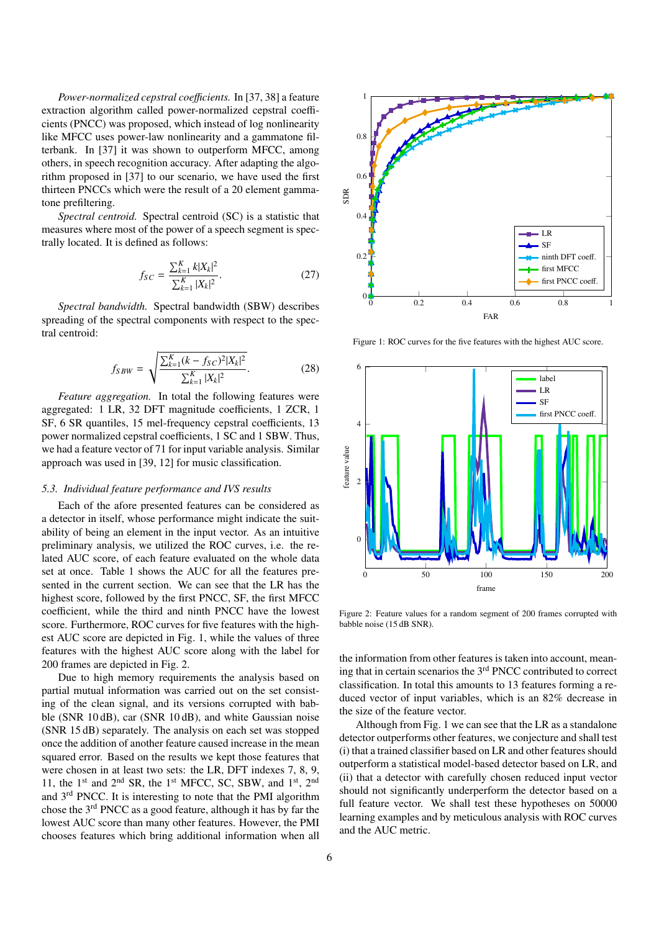*Power-normalized cepstral coe*ffi*cients.* In [37, 38] a feature extraction algorithm called power-normalized cepstral coefficients (PNCC) was proposed, which instead of log nonlinearity like MFCC uses power-law nonlinearity and a gammatone filterbank. In [37] it was shown to outperform MFCC, among others, in speech recognition accuracy. After adapting the algorithm proposed in [37] to our scenario, we have used the first thirteen PNCCs which were the result of a 20 element gammatone prefiltering.

*Spectral centroid.* Spectral centroid (SC) is a statistic that measures where most of the power of a speech segment is spectrally located. It is defined as follows:

$$
f_{SC} = \frac{\sum_{k=1}^{K} k |X_k|^2}{\sum_{k=1}^{K} |X_k|^2}.
$$
 (27)

*Spectral bandwidth.* Spectral bandwidth (SBW) describes spreading of the spectral components with respect to the spectral centroid:

$$
f_{SBW} = \sqrt{\frac{\sum_{k=1}^{K} (k - f_{SC})^2 |X_k|^2}{\sum_{k=1}^{K} |X_k|^2}}.
$$
 (28)

*Feature aggregation.* In total the following features were aggregated: 1 LR, 32 DFT magnitude coefficients, 1 ZCR, 1 SF, 6 SR quantiles, 15 mel-frequency cepstral coefficients, 13 power normalized cepstral coefficients, 1 SC and 1 SBW. Thus, we had a feature vector of 71 for input variable analysis. Similar approach was used in [39, 12] for music classification.

# *5.3. Individual feature performance and IVS results*

Each of the afore presented features can be considered as a detector in itself, whose performance might indicate the suitability of being an element in the input vector. As an intuitive preliminary analysis, we utilized the ROC curves, i.e. the related AUC score, of each feature evaluated on the whole data set at once. Table 1 shows the AUC for all the features presented in the current section. We can see that the LR has the highest score, followed by the first PNCC, SF, the first MFCC coefficient, while the third and ninth PNCC have the lowest score. Furthermore, ROC curves for five features with the highest AUC score are depicted in Fig. 1, while the values of three features with the highest AUC score along with the label for 200 frames are depicted in Fig. 2.

Due to high memory requirements the analysis based on partial mutual information was carried out on the set consisting of the clean signal, and its versions corrupted with babble (SNR 10 dB), car (SNR 10 dB), and white Gaussian noise (SNR 15 dB) separately. The analysis on each set was stopped once the addition of another feature caused increase in the mean squared error. Based on the results we kept those features that were chosen in at least two sets: the LR, DFT indexes 7, 8, 9, 11, the 1<sup>st</sup> and 2<sup>nd</sup> SR, the 1<sup>st</sup> MFCC, SC, SBW, and 1<sup>st</sup>, 2<sup>nd</sup> and 3rd PNCC. It is interesting to note that the PMI algorithm chose the 3rd PNCC as a good feature, although it has by far the lowest AUC score than many other features. However, the PMI chooses features which bring additional information when all



Figure 1: ROC curves for the five features with the highest AUC score.



Figure 2: Feature values for a random segment of 200 frames corrupted with babble noise (15 dB SNR).

the information from other features is taken into account, meaning that in certain scenarios the 3rd PNCC contributed to correct classification. In total this amounts to 13 features forming a reduced vector of input variables, which is an 82% decrease in the size of the feature vector.

Although from Fig. 1 we can see that the LR as a standalone detector outperforms other features, we conjecture and shall test (i) that a trained classifier based on LR and other features should outperform a statistical model-based detector based on LR, and (ii) that a detector with carefully chosen reduced input vector should not significantly underperform the detector based on a full feature vector. We shall test these hypotheses on 50000 learning examples and by meticulous analysis with ROC curves and the AUC metric.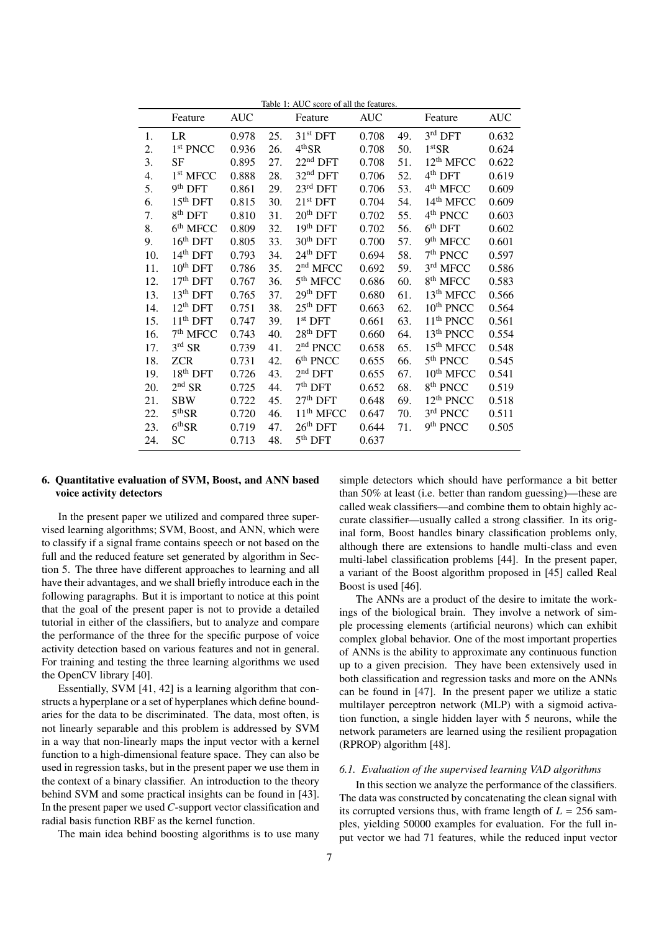|     | Table 1: AUC score of all the features. |            |     |                      |            |     |                       |            |  |  |
|-----|-----------------------------------------|------------|-----|----------------------|------------|-----|-----------------------|------------|--|--|
|     | Feature                                 | <b>AUC</b> |     | Feature              | <b>AUC</b> |     | Feature               | <b>AUC</b> |  |  |
| 1.  | LR                                      | 0.978      | 25. | $31st$ DFT           | 0.708      | 49. | $3rd$ DFT             | 0.632      |  |  |
| 2.  | 1 <sup>st</sup> PNCC                    | 0.936      | 26. | 4 <sup>th</sup> SR   | 0.708      | 50. | 1 <sup>st</sup> SR    | 0.624      |  |  |
| 3.  | <b>SF</b>                               | 0.895      | 27. | $22nd$ DFT           | 0.708      | 51. | $12th$ MFCC           | 0.622      |  |  |
| 4.  | $1st$ MFCC                              | 0.888      | 28. | 32 <sup>nd</sup> DFT | 0.706      | 52. | $4th$ DFT             | 0.619      |  |  |
| 5.  | $9th$ DFT                               | 0.861      | 29. | $23^{\rm rd}$ DFT    | 0.706      | 53. | $4th$ MFCC            | 0.609      |  |  |
| 6.  | $15th$ DFT                              | 0.815      | 30. | $21st$ DFT           | 0.704      | 54. | $14th$ MFCC           | 0.609      |  |  |
| 7.  | $8th$ DFT                               | 0.810      | 31. | $20th$ DFT           | 0.702      | 55. | 4 <sup>th</sup> PNCC  | 0.603      |  |  |
| 8.  | $6th$ MFCC                              | 0.809      | 32. | $19th$ DFT           | 0.702      | 56. | $6th$ DFT             | 0.602      |  |  |
| 9.  | $16th$ DFT                              | 0.805      | 33. | $30th$ DFT           | 0.700      | 57. | $9th$ MFCC            | 0.601      |  |  |
| 10. | $14th$ DFT                              | 0.793      | 34. | $24th$ DFT           | 0.694      | 58. | $7th$ PNCC            | 0.597      |  |  |
| 11. | $10th$ DFT                              | 0.786      | 35. | $2nd$ MFCC           | 0.692      | 59. | 3rd MFCC              | 0.586      |  |  |
| 12. | $17th$ DFT                              | 0.767      | 36. | $5th$ MFCC           | 0.686      | 60. | $8th$ MFCC            | 0.583      |  |  |
| 13. | $13th$ DFT                              | 0.765      | 37. | $29th$ DFT           | 0.680      | 61. | $13th$ MFCC           | 0.566      |  |  |
| 14. | $12th$ DFT                              | 0.751      | 38. | $25th$ DFT           | 0.663      | 62. | 10 <sup>th</sup> PNCC | 0.564      |  |  |
| 15. | $11th$ DFT                              | 0.747      | 39. | $1st$ DFT            | 0.661      | 63. | $11th$ PNCC           | 0.561      |  |  |
| 16. | $7th$ MFCC                              | 0.743      | 40. | $28th$ DFT           | 0.660      | 64. | $13th$ PNCC           | 0.554      |  |  |
| 17. | $3rd$ SR                                | 0.739      | 41. | $2nd$ PNCC           | 0.658      | 65. | $15th$ MFCC           | 0.548      |  |  |
| 18. | <b>ZCR</b>                              | 0.731      | 42. | $6th$ PNCC           | 0.655      | 66. | $5th$ PNCC            | 0.545      |  |  |
| 19. | $18th$ DFT                              | 0.726      | 43. | $2nd$ DFT            | 0.655      | 67. | $10th$ MFCC           | 0.541      |  |  |
| 20. | $2nd$ SR                                | 0.725      | 44. | $7th$ DFT            | 0.652      | 68. | 8 <sup>th</sup> PNCC  | 0.519      |  |  |
| 21. | <b>SBW</b>                              | 0.722      | 45. | $27th$ DFT           | 0.648      | 69. | $12th$ PNCC           | 0.518      |  |  |
| 22. | 5 <sup>th</sup> SR                      | 0.720      | 46. | $11th$ MFCC          | 0.647      | 70. | $3rd$ PNCC            | 0.511      |  |  |
| 23. | 6 <sup>th</sup> SR                      | 0.719      | 47. | $26th$ DFT           | 0.644      | 71. | 9th PNCC              | 0.505      |  |  |
| 24. | <b>SC</b>                               | 0.713      | 48. | $5th$ DFT            | 0.637      |     |                       |            |  |  |

 $T_{\text{t}}$   $T_{\text{t}}$   $T_{\text{t}}$   $T_{\text{t}}$   $T_{\text{t}}$   $T_{\text{t}}$   $T_{\text{t}}$   $T_{\text{t}}$   $T_{\text{t}}$   $T_{\text{t}}$   $T_{\text{t}}$ 

# 6. Quantitative evaluation of SVM, Boost, and ANN based voice activity detectors

In the present paper we utilized and compared three supervised learning algorithms; SVM, Boost, and ANN, which were to classify if a signal frame contains speech or not based on the full and the reduced feature set generated by algorithm in Section 5. The three have different approaches to learning and all have their advantages, and we shall briefly introduce each in the following paragraphs. But it is important to notice at this point that the goal of the present paper is not to provide a detailed tutorial in either of the classifiers, but to analyze and compare the performance of the three for the specific purpose of voice activity detection based on various features and not in general. For training and testing the three learning algorithms we used the OpenCV library [40].

Essentially, SVM [41, 42] is a learning algorithm that constructs a hyperplane or a set of hyperplanes which define boundaries for the data to be discriminated. The data, most often, is not linearly separable and this problem is addressed by SVM in a way that non-linearly maps the input vector with a kernel function to a high-dimensional feature space. They can also be used in regression tasks, but in the present paper we use them in the context of a binary classifier. An introduction to the theory behind SVM and some practical insights can be found in [43]. In the present paper we used *C*-support vector classification and radial basis function RBF as the kernel function.

The main idea behind boosting algorithms is to use many

simple detectors which should have performance a bit better than 50% at least (i.e. better than random guessing)—these are called weak classifiers—and combine them to obtain highly accurate classifier—usually called a strong classifier. In its original form, Boost handles binary classification problems only, although there are extensions to handle multi-class and even multi-label classification problems [44]. In the present paper, a variant of the Boost algorithm proposed in [45] called Real Boost is used [46].

The ANNs are a product of the desire to imitate the workings of the biological brain. They involve a network of simple processing elements (artificial neurons) which can exhibit complex global behavior. One of the most important properties of ANNs is the ability to approximate any continuous function up to a given precision. They have been extensively used in both classification and regression tasks and more on the ANNs can be found in [47]. In the present paper we utilize a static multilayer perceptron network (MLP) with a sigmoid activation function, a single hidden layer with 5 neurons, while the network parameters are learned using the resilient propagation (RPROP) algorithm [48].

# *6.1. Evaluation of the supervised learning VAD algorithms*

In this section we analyze the performance of the classifiers. The data was constructed by concatenating the clean signal with its corrupted versions thus, with frame length of  $L = 256$  samples, yielding 50000 examples for evaluation. For the full input vector we had 71 features, while the reduced input vector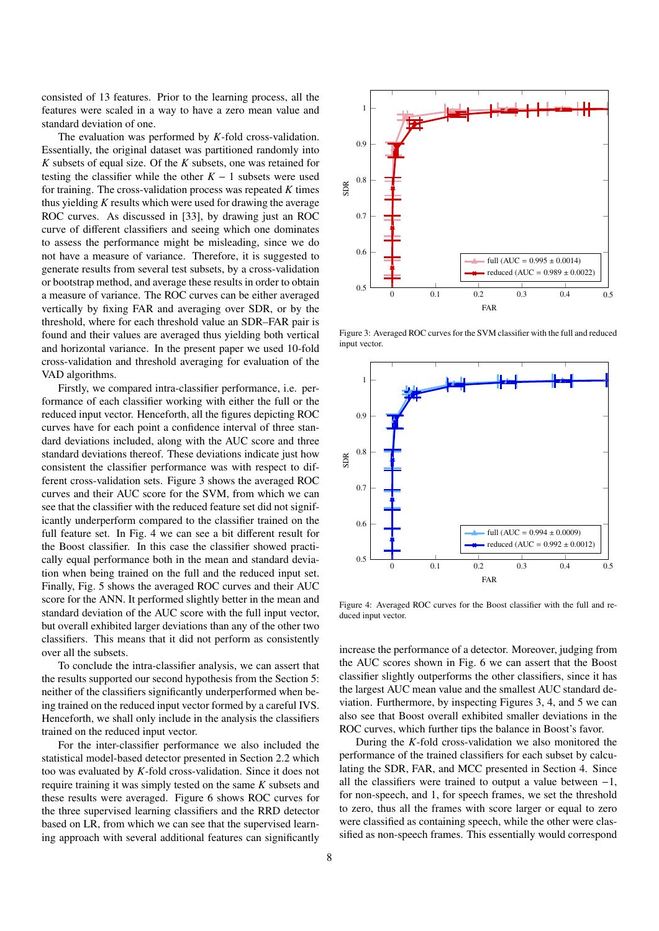consisted of 13 features. Prior to the learning process, all the features were scaled in a way to have a zero mean value and standard deviation of one.

The evaluation was performed by *K*-fold cross-validation. Essentially, the original dataset was partitioned randomly into *K* subsets of equal size. Of the *K* subsets, one was retained for testing the classifier while the other  $K - 1$  subsets were used for training. The cross-validation process was repeated *K* times thus yielding *K* results which were used for drawing the average ROC curves. As discussed in [33], by drawing just an ROC curve of different classifiers and seeing which one dominates to assess the performance might be misleading, since we do not have a measure of variance. Therefore, it is suggested to generate results from several test subsets, by a cross-validation or bootstrap method, and average these results in order to obtain a measure of variance. The ROC curves can be either averaged vertically by fixing FAR and averaging over SDR, or by the threshold, where for each threshold value an SDR–FAR pair is found and their values are averaged thus yielding both vertical and horizontal variance. In the present paper we used 10-fold cross-validation and threshold averaging for evaluation of the VAD algorithms.

Firstly, we compared intra-classifier performance, i.e. performance of each classifier working with either the full or the reduced input vector. Henceforth, all the figures depicting ROC curves have for each point a confidence interval of three standard deviations included, along with the AUC score and three standard deviations thereof. These deviations indicate just how consistent the classifier performance was with respect to different cross-validation sets. Figure 3 shows the averaged ROC curves and their AUC score for the SVM, from which we can see that the classifier with the reduced feature set did not significantly underperform compared to the classifier trained on the full feature set. In Fig. 4 we can see a bit different result for the Boost classifier. In this case the classifier showed practically equal performance both in the mean and standard deviation when being trained on the full and the reduced input set. Finally, Fig. 5 shows the averaged ROC curves and their AUC score for the ANN. It performed slightly better in the mean and standard deviation of the AUC score with the full input vector, but overall exhibited larger deviations than any of the other two classifiers. This means that it did not perform as consistently over all the subsets.

To conclude the intra-classifier analysis, we can assert that the results supported our second hypothesis from the Section 5: neither of the classifiers significantly underperformed when being trained on the reduced input vector formed by a careful IVS. Henceforth, we shall only include in the analysis the classifiers trained on the reduced input vector.

For the inter-classifier performance we also included the statistical model-based detector presented in Section 2.2 which too was evaluated by *K*-fold cross-validation. Since it does not require training it was simply tested on the same *K* subsets and these results were averaged. Figure 6 shows ROC curves for the three supervised learning classifiers and the RRD detector based on LR, from which we can see that the supervised learning approach with several additional features can significantly



Figure 3: Averaged ROC curves for the SVM classifier with the full and reduced input vector.



Figure 4: Averaged ROC curves for the Boost classifier with the full and reduced input vector.

increase the performance of a detector. Moreover, judging from the AUC scores shown in Fig. 6 we can assert that the Boost classifier slightly outperforms the other classifiers, since it has the largest AUC mean value and the smallest AUC standard deviation. Furthermore, by inspecting Figures 3, 4, and 5 we can also see that Boost overall exhibited smaller deviations in the ROC curves, which further tips the balance in Boost's favor.

During the *K*-fold cross-validation we also monitored the performance of the trained classifiers for each subset by calculating the SDR, FAR, and MCC presented in Section 4. Since all the classifiers were trained to output a value between −1, for non-speech, and 1, for speech frames, we set the threshold to zero, thus all the frames with score larger or equal to zero were classified as containing speech, while the other were classified as non-speech frames. This essentially would correspond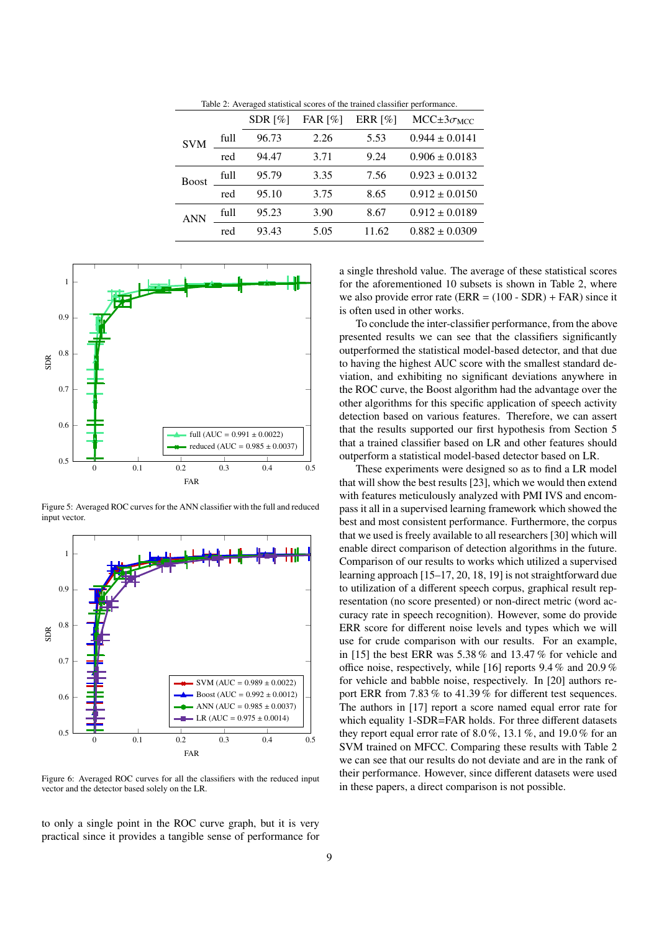| Table 2. Averaged statistical scores of the trained classifier performance. |      |           |                       |           |                         |  |  |  |  |
|-----------------------------------------------------------------------------|------|-----------|-----------------------|-----------|-------------------------|--|--|--|--|
|                                                                             |      | SDR $[%]$ | FAR $\lceil\% \rceil$ | ERR $[%]$ | $MCC \pm 3\sigma_{MCC}$ |  |  |  |  |
| <b>SVM</b>                                                                  | full | 96.73     | 2.26                  | 5.53      | $0.944 \pm 0.0141$      |  |  |  |  |
|                                                                             | red  | 94.47     | 3.71                  | 9.24      | $0.906 \pm 0.0183$      |  |  |  |  |
| <b>Boost</b>                                                                | full | 95.79     | 3.35                  | 7.56      | $0.923 \pm 0.0132$      |  |  |  |  |
|                                                                             | red  | 95.10     | 3.75                  | 8.65      | $0.912 \pm 0.0150$      |  |  |  |  |
| <b>ANN</b>                                                                  | full | 95.23     | 3.90                  | 8.67      | $0.912 \pm 0.0189$      |  |  |  |  |
|                                                                             | red  | 93.43     | 5.05                  | 11.62     | $0.882 \pm 0.0309$      |  |  |  |  |

Table  $2:$  Averaged statistical scores of the trained classifier performa



Figure 5: Averaged ROC curves for the ANN classifier with the full and reduced input vector.



Figure 6: Averaged ROC curves for all the classifiers with the reduced input vector and the detector based solely on the LR.

to only a single point in the ROC curve graph, but it is very practical since it provides a tangible sense of performance for a single threshold value. The average of these statistical scores for the aforementioned 10 subsets is shown in Table 2, where we also provide error rate (ERR =  $(100 - SDR) + FAR$ ) since it is often used in other works.

To conclude the inter-classifier performance, from the above presented results we can see that the classifiers significantly outperformed the statistical model-based detector, and that due to having the highest AUC score with the smallest standard deviation, and exhibiting no significant deviations anywhere in the ROC curve, the Boost algorithm had the advantage over the other algorithms for this specific application of speech activity detection based on various features. Therefore, we can assert that the results supported our first hypothesis from Section 5 that a trained classifier based on LR and other features should outperform a statistical model-based detector based on LR.

These experiments were designed so as to find a LR model that will show the best results [23], which we would then extend with features meticulously analyzed with PMI IVS and encompass it all in a supervised learning framework which showed the best and most consistent performance. Furthermore, the corpus that we used is freely available to all researchers [30] which will enable direct comparison of detection algorithms in the future. Comparison of our results to works which utilized a supervised learning approach [15–17, 20, 18, 19] is not straightforward due to utilization of a different speech corpus, graphical result representation (no score presented) or non-direct metric (word accuracy rate in speech recognition). However, some do provide ERR score for different noise levels and types which we will use for crude comparison with our results. For an example, in [15] the best ERR was 5.38 % and 13.47 % for vehicle and office noise, respectively, while [16] reports 9.4 % and 20.9 % for vehicle and babble noise, respectively. In [20] authors report ERR from 7.83 % to 41.39 % for different test sequences. The authors in [17] report a score named equal error rate for which equality 1-SDR=FAR holds. For three different datasets they report equal error rate of  $8.0\%$ ,  $13.1\%$ , and  $19.0\%$  for an SVM trained on MFCC. Comparing these results with Table 2 we can see that our results do not deviate and are in the rank of their performance. However, since different datasets were used in these papers, a direct comparison is not possible.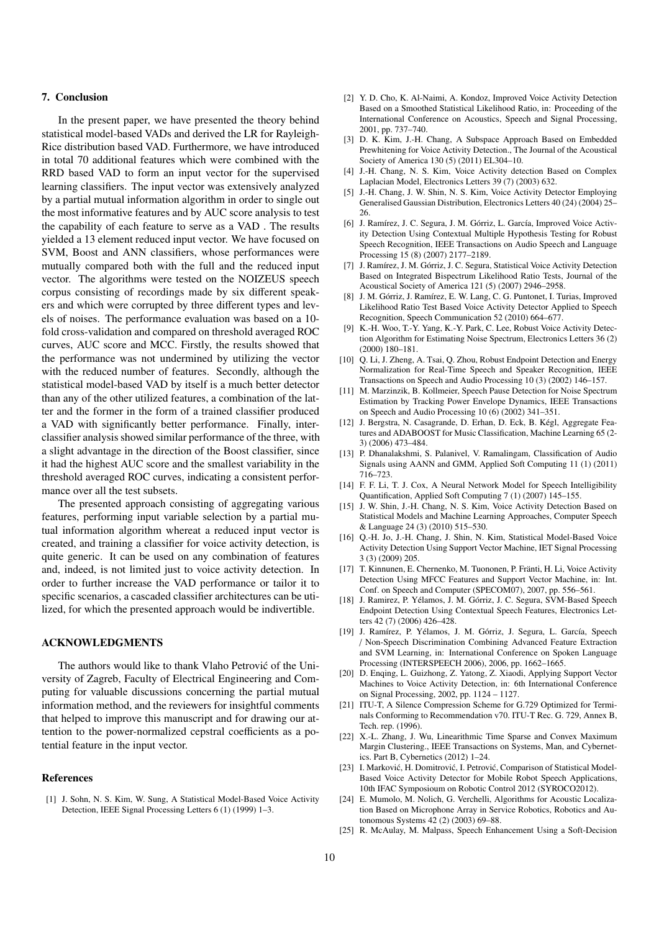# 7. Conclusion

In the present paper, we have presented the theory behind statistical model-based VADs and derived the LR for Rayleigh-Rice distribution based VAD. Furthermore, we have introduced in total 70 additional features which were combined with the RRD based VAD to form an input vector for the supervised learning classifiers. The input vector was extensively analyzed by a partial mutual information algorithm in order to single out the most informative features and by AUC score analysis to test the capability of each feature to serve as a VAD . The results yielded a 13 element reduced input vector. We have focused on SVM, Boost and ANN classifiers, whose performances were mutually compared both with the full and the reduced input vector. The algorithms were tested on the NOIZEUS speech corpus consisting of recordings made by six different speakers and which were corrupted by three different types and levels of noises. The performance evaluation was based on a 10 fold cross-validation and compared on threshold averaged ROC curves, AUC score and MCC. Firstly, the results showed that the performance was not undermined by utilizing the vector with the reduced number of features. Secondly, although the statistical model-based VAD by itself is a much better detector than any of the other utilized features, a combination of the latter and the former in the form of a trained classifier produced a VAD with significantly better performance. Finally, interclassifier analysis showed similar performance of the three, with a slight advantage in the direction of the Boost classifier, since it had the highest AUC score and the smallest variability in the threshold averaged ROC curves, indicating a consistent performance over all the test subsets.

The presented approach consisting of aggregating various features, performing input variable selection by a partial mutual information algorithm whereat a reduced input vector is created, and training a classifier for voice activity detection, is quite generic. It can be used on any combination of features and, indeed, is not limited just to voice activity detection. In order to further increase the VAD performance or tailor it to specific scenarios, a cascaded classifier architectures can be utilized, for which the presented approach would be indivertible.

# ACKNOWLEDGMENTS

The authors would like to thank Vlaho Petrović of the University of Zagreb, Faculty of Electrical Engineering and Computing for valuable discussions concerning the partial mutual information method, and the reviewers for insightful comments that helped to improve this manuscript and for drawing our attention to the power-normalized cepstral coefficients as a potential feature in the input vector.

# References

[1] J. Sohn, N. S. Kim, W. Sung, A Statistical Model-Based Voice Activity Detection, IEEE Signal Processing Letters 6 (1) (1999) 1–3.

- [2] Y. D. Cho, K. Al-Naimi, A. Kondoz, Improved Voice Activity Detection Based on a Smoothed Statistical Likelihood Ratio, in: Proceeding of the International Conference on Acoustics, Speech and Signal Processing, 2001, pp. 737–740.
- [3] D. K. Kim, J.-H. Chang, A Subspace Approach Based on Embedded Prewhitening for Voice Activity Detection., The Journal of the Acoustical Society of America 130 (5) (2011) EL304–10.
- [4] J.-H. Chang, N. S. Kim, Voice Activity detection Based on Complex Laplacian Model, Electronics Letters 39 (7) (2003) 632.
- [5] J.-H. Chang, J. W. Shin, N. S. Kim, Voice Activity Detector Employing Generalised Gaussian Distribution, Electronics Letters 40 (24) (2004) 25– 26.
- [6] J. Ramírez, J. C. Segura, J. M. Górriz, L. García, Improved Voice Activity Detection Using Contextual Multiple Hypothesis Testing for Robust Speech Recognition, IEEE Transactions on Audio Speech and Language Processing 15 (8) (2007) 2177–2189.
- [7] J. Ramírez, J. M. Górriz, J. C. Segura, Statistical Voice Activity Detection Based on Integrated Bispectrum Likelihood Ratio Tests, Journal of the Acoustical Society of America 121 (5) (2007) 2946–2958.
- [8] J. M. Górriz, J. Ramírez, E. W. Lang, C. G. Puntonet, I. Turias, Improved Likelihood Ratio Test Based Voice Activity Detector Applied to Speech Recognition, Speech Communication 52 (2010) 664–677.
- [9] K.-H. Woo, T.-Y. Yang, K.-Y. Park, C. Lee, Robust Voice Activity Detection Algorithm for Estimating Noise Spectrum, Electronics Letters 36 (2) (2000) 180–181.
- [10] Q. Li, J. Zheng, A. Tsai, Q. Zhou, Robust Endpoint Detection and Energy Normalization for Real-Time Speech and Speaker Recognition, IEEE Transactions on Speech and Audio Processing 10 (3) (2002) 146–157.
- [11] M. Marzinzik, B. Kollmeier, Speech Pause Detection for Noise Spectrum Estimation by Tracking Power Envelope Dynamics, IEEE Transactions on Speech and Audio Processing 10 (6) (2002) 341–351.
- [12] J. Bergstra, N. Casagrande, D. Erhan, D. Eck, B. Kégl, Aggregate Features and ADABOOST for Music Classification, Machine Learning 65 (2- 3) (2006) 473–484.
- [13] P. Dhanalakshmi, S. Palanivel, V. Ramalingam, Classification of Audio Signals using AANN and GMM, Applied Soft Computing 11 (1) (2011) 716–723.
- [14] F. F. Li, T. J. Cox, A Neural Network Model for Speech Intelligibility Quantification, Applied Soft Computing 7 (1) (2007) 145–155.
- [15] J. W. Shin, J.-H. Chang, N. S. Kim, Voice Activity Detection Based on Statistical Models and Machine Learning Approaches, Computer Speech & Language 24 (3) (2010) 515–530.
- [16] Q.-H. Jo, J.-H. Chang, J. Shin, N. Kim, Statistical Model-Based Voice Activity Detection Using Support Vector Machine, IET Signal Processing 3 (3) (2009) 205.
- [17] T. Kinnunen, E. Chernenko, M. Tuononen, P. Fränti, H. Li, Voice Activity Detection Using MFCC Features and Support Vector Machine, in: Int. Conf. on Speech and Computer (SPECOM07), 2007, pp. 556–561.
- [18] J. Ramirez, P. Yélamos, J. M. Górriz, J. C. Segura, SVM-Based Speech Endpoint Detection Using Contextual Speech Features, Electronics Letters 42 (7) (2006) 426–428.
- [19] J. Ramírez, P. Yélamos, J. M. Górriz, J. Segura, L. García, Speech / Non-Speech Discrimination Combining Advanced Feature Extraction and SVM Learning, in: International Conference on Spoken Language Processing (INTERSPEECH 2006), 2006, pp. 1662–1665.
- [20] D. Enqing, L. Guizhong, Z. Yatong, Z. Xiaodi, Applying Support Vector Machines to Voice Activity Detection, in: 6th International Conference on Signal Processing, 2002, pp. 1124 – 1127.
- [21] ITU-T, A Silence Compression Scheme for G.729 Optimized for Terminals Conforming to Recommendation v70. ITU-T Rec. G. 729, Annex B, Tech. rep. (1996).
- [22] X.-L. Zhang, J. Wu, Linearithmic Time Sparse and Convex Maximum Margin Clustering., IEEE Transactions on Systems, Man, and Cybernetics. Part B, Cybernetics (2012) 1–24.
- [23] I. Marković, H. Domitrović, I. Petrović, Comparison of Statistical Model-Based Voice Activity Detector for Mobile Robot Speech Applications, 10th IFAC Symposioum on Robotic Control 2012 (SYROCO2012).
- [24] E. Mumolo, M. Nolich, G. Verchelli, Algorithms for Acoustic Localization Based on Microphone Array in Service Robotics, Robotics and Autonomous Systems 42 (2) (2003) 69–88.
- [25] R. McAulay, M. Malpass, Speech Enhancement Using a Soft-Decision